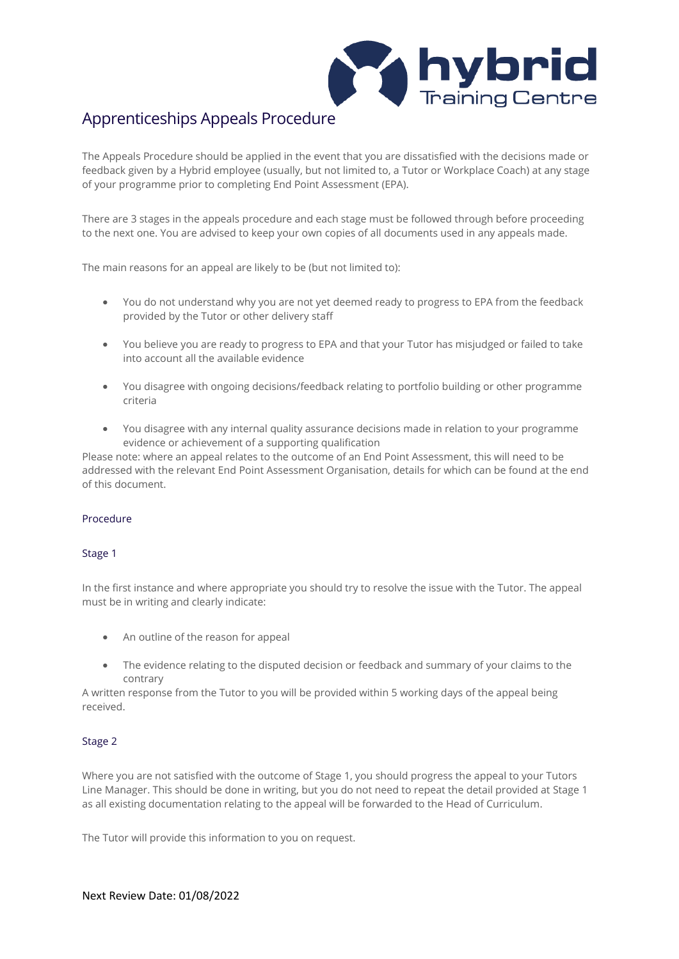

# Apprenticeships Appeals Procedure

The Appeals Procedure should be applied in the event that you are dissatisfied with the decisions made or feedback given by a Hybrid employee (usually, but not limited to, a Tutor or Workplace Coach) at any stage of your programme prior to completing End Point Assessment (EPA).

There are 3 stages in the appeals procedure and each stage must be followed through before proceeding to the next one. You are advised to keep your own copies of all documents used in any appeals made.

The main reasons for an appeal are likely to be (but not limited to):

- You do not understand why you are not yet deemed ready to progress to EPA from the feedback provided by the Tutor or other delivery staff
- You believe you are ready to progress to EPA and that your Tutor has misjudged or failed to take into account all the available evidence
- You disagree with ongoing decisions/feedback relating to portfolio building or other programme criteria
- You disagree with any internal quality assurance decisions made in relation to your programme evidence or achievement of a supporting qualification

Please note: where an appeal relates to the outcome of an End Point Assessment, this will need to be addressed with the relevant End Point Assessment Organisation, details for which can be found at the end of this document.

## Procedure

#### Stage 1

In the first instance and where appropriate you should try to resolve the issue with the Tutor. The appeal must be in writing and clearly indicate:

- An outline of the reason for appeal
- The evidence relating to the disputed decision or feedback and summary of your claims to the contrary

A written response from the Tutor to you will be provided within 5 working days of the appeal being received.

#### Stage 2

Where you are not satisfied with the outcome of Stage 1, you should progress the appeal to your Tutors Line Manager. This should be done in writing, but you do not need to repeat the detail provided at Stage 1 as all existing documentation relating to the appeal will be forwarded to the Head of Curriculum.

The Tutor will provide this information to you on request.